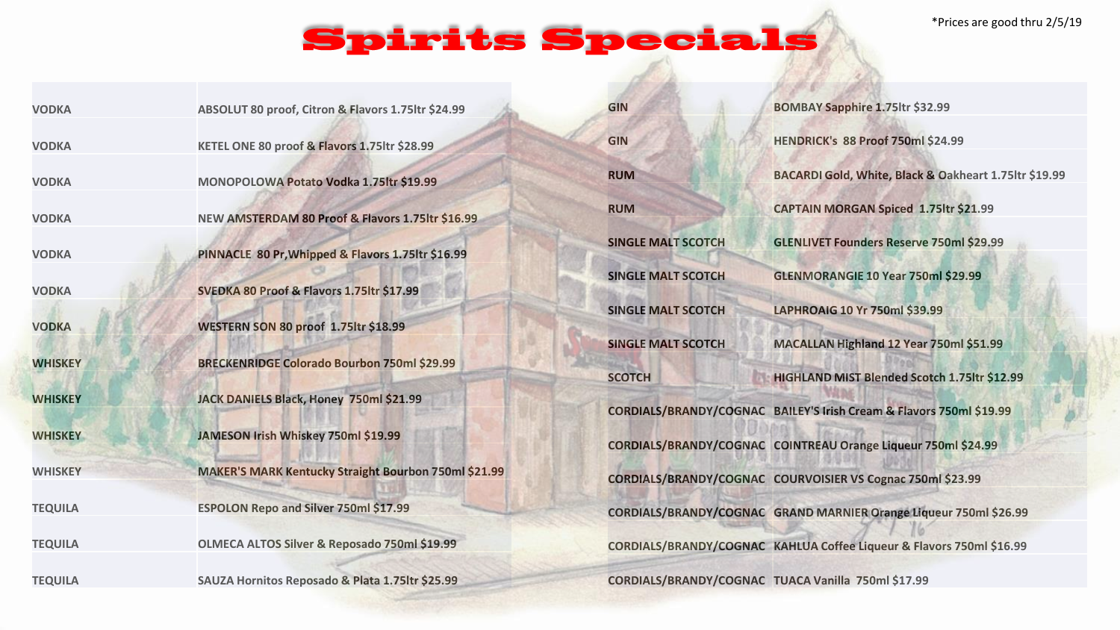## **Spirits Specials**

| <b>VODKA</b>   | ABSOLUT 80 proof, Citron & Flavors 1.75ltr \$24.99          | <b>GIN</b>                | BOMBAY Sapphire 1.75ltr \$32.99                                      |
|----------------|-------------------------------------------------------------|---------------------------|----------------------------------------------------------------------|
| <b>VODKA</b>   | KETEL ONE 80 proof & Flavors 1.75ltr \$28.99                | <b>GIN</b>                | HENDRICK's 88 Proof 750ml \$24.99                                    |
| <b>VODKA</b>   | MONOPOLOWA Potato Vodka 1.75ltr \$19.99                     | <b>RUM</b>                | BACARDI Gold, White, Black & Oakheart 1.75ltr \$19.99                |
| <b>VODKA</b>   | NEW AMSTERDAM 80 Proof & Flavors 1.75ltr \$16.99            | <b>RUM</b>                | <b>CAPTAIN MORGAN Spiced 1.75ltr \$21.99</b>                         |
| <b>VODKA</b>   | PINNACLE 80 Pr, Whipped & Flavors 1.75ltr \$16.99           | <b>SINGLE MALT SCOTCH</b> | <b>GLENLIVET Founders Reserve 750ml \$29.99</b>                      |
| <b>VODKA</b>   | SVEDKA 80 Proof & Flavors 1.75ltr \$17.99                   | <b>SINGLE MALT SCOTCH</b> | GLENMORANGIE 10 Year 750ml \$29.99                                   |
| <b>VODKA</b>   | <b>WESTERN SON 80 proof 1.75ltr \$18.99</b>                 | <b>SINGLE MALT SCOTCH</b> | LAPHROAIG 10 Yr 750ml \$39.99                                        |
|                |                                                             | <b>SINGLE MALT SCOTCH</b> | MACALLAN Highland 12 Year 750ml \$51.99                              |
| <b>WHISKEY</b> | <b>BRECKENRIDGE Colorado Bourbon 750ml \$29.99</b>          | <b>SCOTCH</b>             | HIGHLAND MIST Blended Scotch 1.75ltr \$12.99                         |
| <b>WHISKEY</b> | JACK DANIELS Black, Honey 750ml \$21.99                     |                           | CORDIALS/BRANDY/COGNAC BAILEY'S Irish Cream & Flavors 750ml \$19.99  |
| <b>WHISKEY</b> | JAMESON Irish Whiskey 750ml \$19.99                         |                           | CORDIALS/BRANDY/COGNAC COINTREAU Orange Liqueur 750ml \$24.99        |
| <b>WHISKEY</b> | <b>MAKER'S MARK Kentucky Straight Bourbon 750ml \$21.99</b> |                           | CORDIALS/BRANDY/COGNAC COURVOISIER VS Cognac 750ml \$23.99           |
| <b>TEQUILA</b> | <b>ESPOLON Repo and Silver 750ml \$17.99</b>                |                           | CORDIALS/BRANDY/COGNAC GRAND MARNIER Orange Liqueur 750ml \$26.99    |
| <b>TEQUILA</b> | OLMECA ALTOS Silver & Reposado 750ml \$19.99                |                           | CORDIALS/BRANDY/COGNAC KAHLUA Coffee Liqueur & Flavors 750ml \$16.99 |
| <b>TEQUILA</b> | SAUZA Hornitos Reposado & Plata 1.75ltr \$25.99             |                           | CORDIALS/BRANDY/COGNAC TUACA Vanilla 750ml \$17.99                   |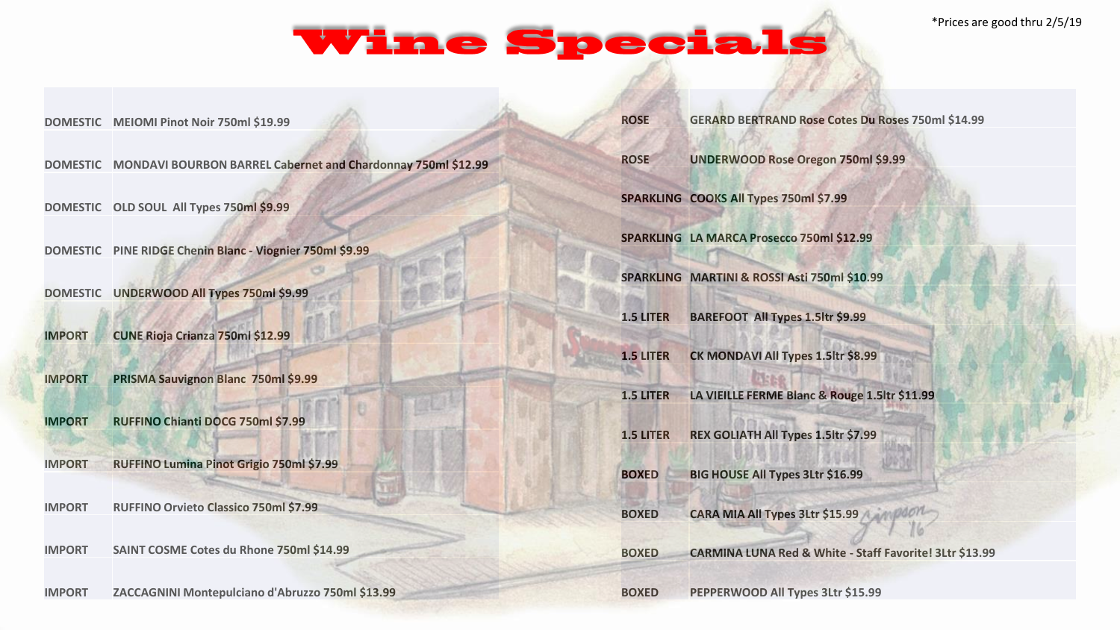## **Wine Specials**

**DOMESTIC MEIOMI Pinot Noir 750ml \$19.99**

**DOMESTIC MONDAVI BOURBON BARREL Cabernet and Chardonnay 750ml \$12.99**

**DOMESTIC OLD SOUL All Types 750ml \$9.99**

**DOMESTIC PINE RIDGE Chenin Blanc - Viognier 750ml \$9.99**

**DOMESTIC UNDERWOOD All Types 750ml \$9.99**

**IMPORT CUNE Rioja Crianza 750ml \$12.99**

**IMPORT PRISMA Sauvignon Blanc 750ml \$9.99**

**IMPORT RUFFINO Chianti DOCG 750ml \$7.99**

**IMPORT RUFFINO Lumina Pinot Grigio 750ml \$7.99**

**IMPORT RUFFINO Orvieto Classico 750ml \$7.99**

**IMPORT SAINT COSME Cotes du Rhone 750ml \$14.99**

**IMPORT ZACCAGNINI Montepulciano d'Abruzzo 750ml \$13.99**

| <b>ROSE</b>      | <b>GERARD BERTRAND Rose Cotes Du Roses 750ml \$14.99</b> |
|------------------|----------------------------------------------------------|
| <b>ROSE</b>      | <b>UNDERWOOD Rose Oregon 750ml \$9.99</b>                |
|                  | SPARKLING COOKS All Types 750ml \$7.99                   |
|                  | SPARKLING LA MARCA Prosecco 750ml \$12.99                |
|                  | SPARKLING MARTINI & ROSSI Asti 750ml \$10.99             |
| <b>1.5 LITER</b> | <b>BAREFOOT All Types 1.5ltr \$9.99</b>                  |
| <b>1.5 LITER</b> | CK MONDAVI All Types 1.5ltr \$8.99                       |
| 1.5 LITER        | LA VIEILLE FERME Blanc & Rouge 1.5ltr \$11.99            |
| <b>1.5 LITER</b> | REX GOLIATH All Types 1.5ltr \$7.99                      |
| <b>BOXED</b>     | <b>BIG HOUSE All Types 3Ltr \$16.99</b>                  |
| <b>BOXED</b>     | CARA MIA All Types 3Ltr \$15.99                          |
| <b>BOXED</b>     | CARMINA LUNA Red & White - Staff Favorite! 3Ltr \$13.99  |
|                  |                                                          |

**BOXED PEPPERWOOD All Types 3Ltr \$15.99**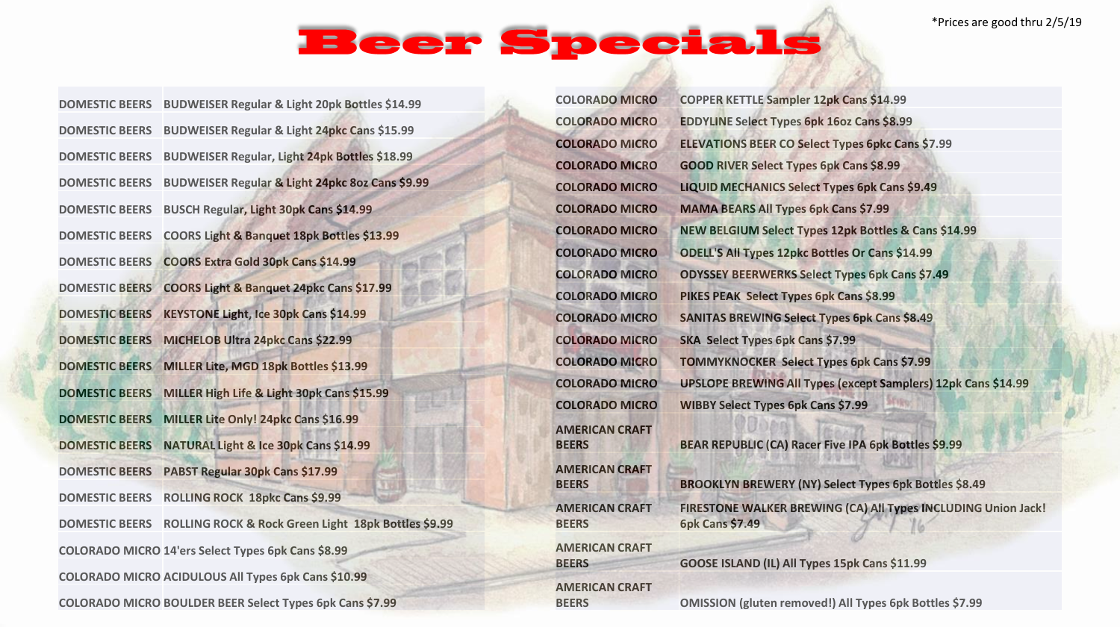## Beer Specials

| <b>DOMESTIC BEERS</b> | BUDWEISER Regular & Light 20pk Bottles \$14.99                  |
|-----------------------|-----------------------------------------------------------------|
| <b>DOMESTIC BEERS</b> | <b>BUDWEISER Regular &amp; Light 24pkc Cans \$15.99</b>         |
| <b>DOMESTIC BEERS</b> | <b>BUDWEISER Regular, Light 24pk Bottles \$18.99</b>            |
| <b>DOMESTIC BEERS</b> | BUDWEISER Regular & Light 24pkc 8oz Cans \$9.99                 |
| <b>DOMESTIC BEERS</b> | BUSCH Regular, Light 30pk Cans \$14.99                          |
| <b>DOMESTIC BEERS</b> | COORS Light & Banquet 18pk Bottles \$13.99                      |
| <b>DOMESTIC BEERS</b> | COORS Extra Gold 30pk Cans \$14.99                              |
| <b>DOMESTIC BEERS</b> | COORS Light & Banquet 24pkc Cans \$17.99                        |
| <b>DOMESTIC BEERS</b> | KEYSTONE Light, Ice 30pk Cans \$14.99                           |
| <b>DOMESTIC BEERS</b> | MICHELOB Ultra 24pkc Cans \$22.99                               |
| <b>DOMESTIC BEERS</b> | MILLER Lite, MGD 18pk Bottles \$13.99                           |
| <b>DOMESTIC BEERS</b> | MILLER High Life & Light 30pk Cans \$15.99                      |
| <b>DOMESTIC BEERS</b> | MILLER Lite Only! 24pkc Cans \$16.99                            |
| <b>DOMESTIC BEERS</b> | NATURAL Light & Ice 30pk Cans \$14.99                           |
| <b>DOMESTIC BEERS</b> | PABST Regular 30pk Cans \$17.99                                 |
| <b>DOMESTIC BEERS</b> | <b>ROLLING ROCK 18pkc Cans \$9.99</b>                           |
| <b>DOMESTIC BEERS</b> | ROLLING ROCK & Rock Green Light 18pk Bottles \$9.99             |
|                       | COLORADO MICRO 14'ers Select Types 6pk Cans \$8.99              |
|                       | <b>COLORADO MICRO ACIDULOUS All Types 6pk Cans \$10.99</b>      |
|                       | <b>COLORADO MICRO BOULDER BEER Select Types 6pk Cans \$7.99</b> |

| <b>COLORADO MICRO</b>                 | COPPER KETTLE Sampler 12pk Cans \$14.99                                                 |
|---------------------------------------|-----------------------------------------------------------------------------------------|
| <b>COLORADO MICRO</b>                 | <b>EDDYLINE Select Types 6pk 16oz Cans \$8.99</b>                                       |
| <b>COLORADO MICRO</b>                 | <b>ELEVATIONS BEER CO Select Types 6pkc Cans \$7.99</b>                                 |
| <b>COLORADO MICRO</b>                 | <b>GOOD RIVER Select Types 6pk Cans \$8.99</b>                                          |
| <b>COLORADO MICRO</b>                 | <b>LIQUID MECHANICS Select Types 6pk Cans \$9.49</b>                                    |
| <b>COLORADO MICRO</b>                 | <b>MAMA BEARS All Types 6pk Cans \$7.99</b>                                             |
| <b>COLORADO MICRO</b>                 | NEW BELGIUM Select Types 12pk Bottles & Cans \$14.99                                    |
| <b>COLORADO MICRO</b>                 | <b>ODELL'S All Types 12pkc Bottles Or Cans \$14.99</b>                                  |
| <b>COLORADO MICRO</b>                 | <b>ODYSSEY BEERWERKS Select Types 6pk Cans \$7.49</b>                                   |
| <b>COLORADO MICRO</b>                 | PIKES PEAK Select Types 6pk Cans \$8.99                                                 |
| <b>COLORADO MICRO</b>                 | <b>SANITAS BREWING Select Types 6pk Cans \$8.49</b>                                     |
| <b>COLORADO MICRO</b>                 | SKA Select Types 6pk Cans \$7.99                                                        |
| <b>COLORADO MICRO</b>                 | <b>TOMMYKNOCKER Select Types 6pk Cans \$7.99</b>                                        |
| <b>COLORADO MICRO</b>                 | <b>UPSLOPE BREWING All Types (except Samplers) 12pk Cans \$14.99</b>                    |
| <b>COLORADO MICRO</b>                 | <b>WIBBY Select Types 6pk Cans \$7.99</b>                                               |
| <b>AMERICAN CRAFT</b><br><b>BEERS</b> | BEAR REPUBLIC (CA) Racer Five IPA 6pk Bottles \$9.99                                    |
| <b>AMERICAN CRAFT</b><br><b>BEERS</b> | <b>BROOKLYN BREWERY (NY) Select Types 6pk Bottles \$8.49</b>                            |
| <b>AMERICAN CRAFT</b><br><b>BEERS</b> | FIRESTONE WALKER BREWING (CA) All Types INCLUDING Union Jack!<br><b>6pk Cans \$7.49</b> |
| <b>AMERICAN CRAFT</b><br><b>BEERS</b> | GOOSE ISLAND (IL) All Types 15pk Cans \$11.99                                           |
| <b>AMERICAN CRAFT</b><br><b>BEERS</b> | <b>OMISSION (gluten removed!) All Types 6pk Bottles \$7.99</b>                          |